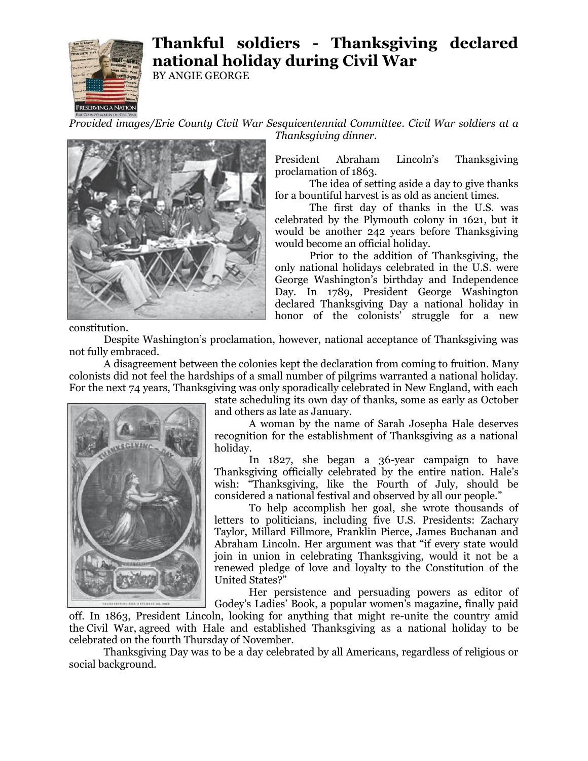

## **Thankful soldiers - Thanksgiving declared national holiday during Civil War**

BY ANGIE GEORGE

*Provided images/Erie County Civil War Sesquicentennial Committee. Civil War soldiers at a Thanksgiving dinner.*



President Abraham Lincoln's Thanksgiving proclamation of 1863.

The idea of setting aside a day to give thanks for a bountiful harvest is as old as ancient times.

The first day of thanks in the U.S. was celebrated by the Plymouth colony in 1621, but it would be another 242 years before Thanksgiving would become an official holiday.

Prior to the addition of Thanksgiving, the only national holidays celebrated in the U.S. were George Washington's birthday and Independence Day. In 1789, President George Washington declared Thanksgiving Day a national holiday in honor of the colonists' struggle for a new

constitution.

Despite Washington's proclamation, however, national acceptance of Thanksgiving was not fully embraced.

A disagreement between the colonies kept the declaration from coming to fruition. Many colonists did not feel the hardships of a small number of pilgrims warranted a national holiday. For the next 74 years, Thanksgiving was only sporadically celebrated in New England, with each



state scheduling its own day of thanks, some as early as October and others as late as January.

A woman by the name of Sarah Josepha Hale deserves recognition for the establishment of Thanksgiving as a national holiday.

In 1827, she began a 36-year campaign to have Thanksgiving officially celebrated by the entire nation. Hale's wish: "Thanksgiving, like the Fourth of July, should be considered a national festival and observed by all our people."

To help accomplish her goal, she wrote thousands of letters to politicians, including five U.S. Presidents: Zachary Taylor, Millard Fillmore, Franklin Pierce, James Buchanan and Abraham Lincoln. Her argument was that "if every state would join in union in celebrating Thanksgiving, would it not be a renewed pledge of love and loyalty to the Constitution of the United States?"

Her persistence and persuading powers as editor of Godey's Ladies' Book, a popular women's magazine, finally paid

off. In 1863, President Lincoln, looking for anything that might re-unite the country amid the Civil War, agreed with Hale and established Thanksgiving as a national holiday to be celebrated on the fourth Thursday of November.

Thanksgiving Day was to be a day celebrated by all Americans, regardless of religious or social background.